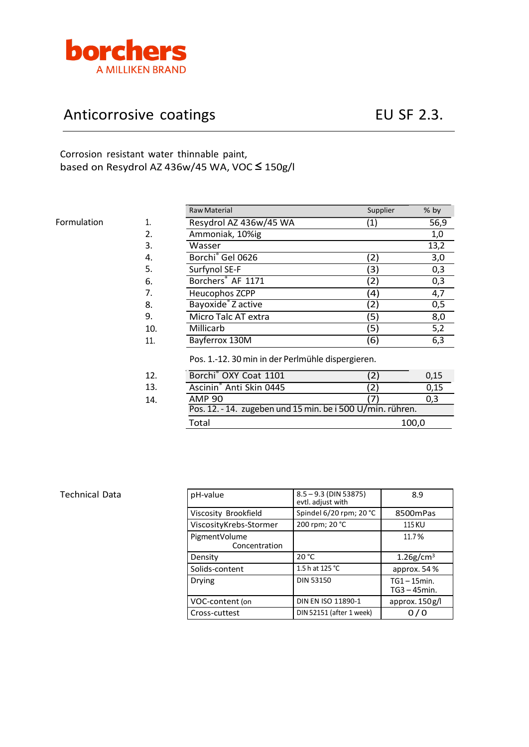

## Anticorrosive coatings The Contract CE CONFERNITY CONTROLLING EU SF 2.3.

Corrosion resistant water thinnable paint, based on Resydrol AZ 436w/45 WA, VOC **≤** 150g/l

|             |     | <b>Raw Material</b>                                        | Supplier          | % by  |  |
|-------------|-----|------------------------------------------------------------|-------------------|-------|--|
| Formulation | 1.  | Resydrol AZ 436w/45 WA                                     | $\left( 1\right)$ | 56,9  |  |
|             | 2.  | Ammoniak, 10%ig                                            |                   | 1,0   |  |
|             | 3.  | Wasser                                                     |                   | 13,2  |  |
|             | 4.  | Borchi <sup>®</sup> Gel 0626                               | (2)               | 3,0   |  |
|             | 5.  | Surfynol SE-F                                              | (3)               | 0,3   |  |
|             | 6.  | Borchers <sup>®</sup> AF 1171                              | (2)               | 0,3   |  |
|             | 7.  | Heucophos ZCPP                                             | (4)               | 4,7   |  |
|             | 8.  | Bayoxide <sup>®</sup> Z active                             | (2)               | 0,5   |  |
|             | 9.  | Micro Talc AT extra                                        | (5)               | 8,0   |  |
|             | 10. | Millicarb                                                  | (5)               | 5,2   |  |
|             | 11. | Bayferrox 130M                                             | (6)               | 6,3   |  |
|             |     | Pos. 1.-12. 30 min in der Perlmühle dispergieren.          |                   |       |  |
|             | 12. | Borchi <sup>®</sup> OXY Coat 1101                          | (2)               | 0,15  |  |
|             | 13. | Ascinin <sup>®</sup> Anti Skin 0445                        | 2)                | 0,15  |  |
|             | 14. | <b>AMP 90</b>                                              |                   | 0,3   |  |
|             |     | Pos. 12. - 14. zugeben und 15 min. be i 500 U/min. rühren. |                   |       |  |
|             |     | Total                                                      |                   | 100,0 |  |

## Technical Data

| pH-value                       | $8.5 - 9.3$ (DIN 53875)<br>evtl. adjust with | 8.9                                |  |
|--------------------------------|----------------------------------------------|------------------------------------|--|
| Viscosity Brookfield           | Spindel 6/20 rpm; 20 °C                      | 8500mPas                           |  |
| ViscosityKrebs-Stormer         | 200 rpm; 20 °C                               | 115 KU                             |  |
| PigmentVolume<br>Concentration |                                              | 11.7%                              |  |
| Density                        | 20 °C                                        | $1.26$ g/cm <sup>3</sup>           |  |
| Solids-content                 | 1.5 h at 125 °C                              | approx. 54 %                       |  |
| Drying                         | <b>DIN 53150</b>                             | $TG1 - 15$ min.<br>$TG3 - 45$ min. |  |
| VOC-content (on                | DIN EN ISO 11890-1                           | approx. $150 g/l$                  |  |
| Cross-cuttest                  | DIN 52151 (after 1 week)                     |                                    |  |